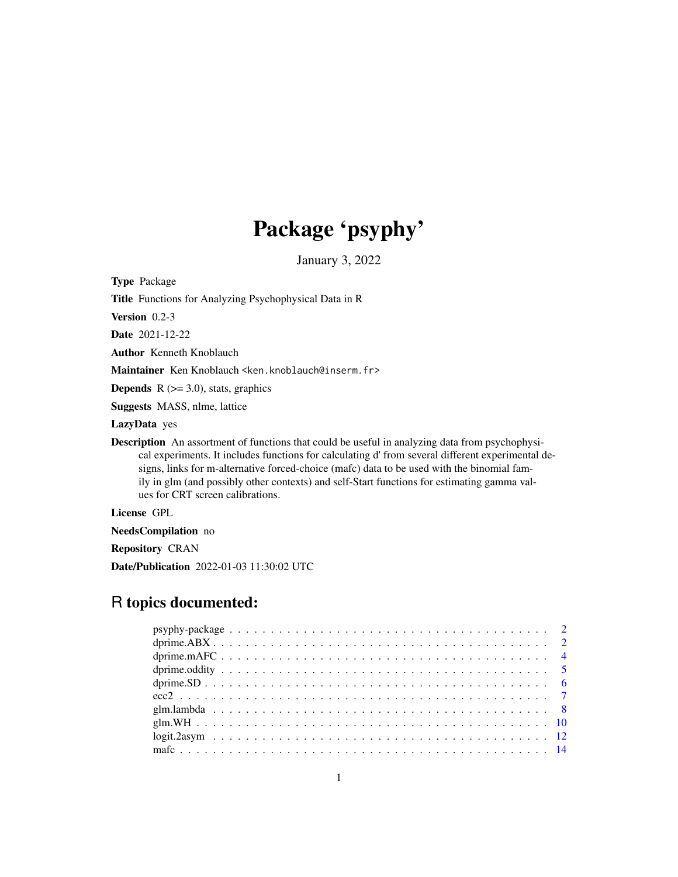# Package 'psyphy'

January 3, 2022

<span id="page-0-0"></span>Type Package

Title Functions for Analyzing Psychophysical Data in R

Version 0.2-3

Date 2021-12-22

Author Kenneth Knoblauch

Maintainer Ken Knoblauch <ken.knoblauch@inserm.fr>

**Depends**  $R$  ( $>= 3.0$ ), stats, graphics

Suggests MASS, nlme, lattice

LazyData yes

**Description** An assortment of functions that could be useful in analyzing data from psychophysical experiments. It includes functions for calculating d' from several different experimental designs, links for m-alternative forced-choice (mafc) data to be used with the binomial family in glm (and possibly other contexts) and self-Start functions for estimating gamma values for CRT screen calibrations.

License GPL

NeedsCompilation no

Repository CRAN

Date/Publication 2022-01-03 11:30:02 UTC

# R topics documented: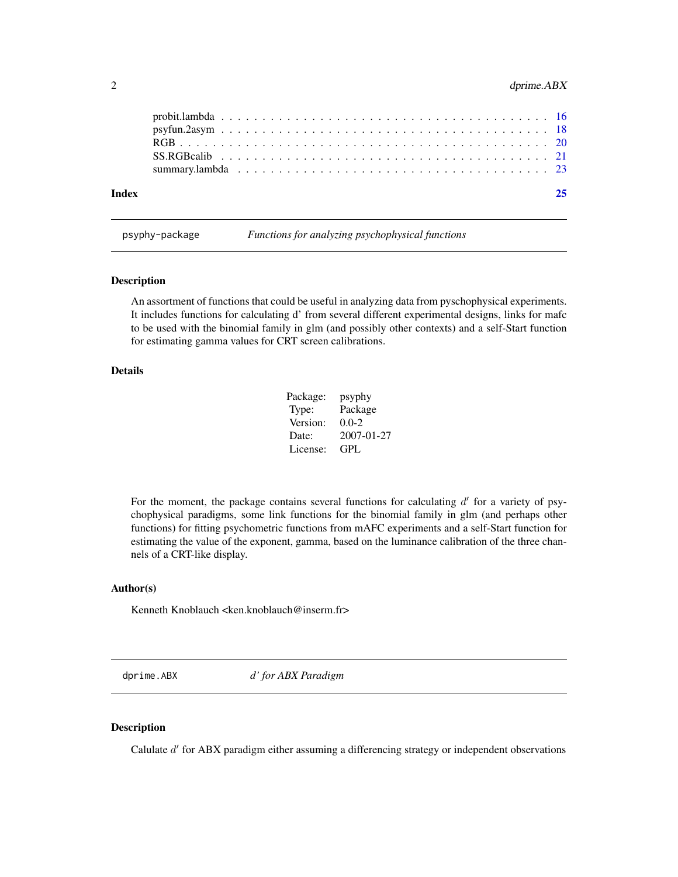<span id="page-1-0"></span>

| Index |  |  |  |  |  |  |  |  |  |  |  |  |  |  |  |  |  |  |  |
|-------|--|--|--|--|--|--|--|--|--|--|--|--|--|--|--|--|--|--|--|
|       |  |  |  |  |  |  |  |  |  |  |  |  |  |  |  |  |  |  |  |
|       |  |  |  |  |  |  |  |  |  |  |  |  |  |  |  |  |  |  |  |

psyphy-package *Functions for analyzing psychophysical functions*

# Description

An assortment of functions that could be useful in analyzing data from pyschophysical experiments. It includes functions for calculating d' from several different experimental designs, links for mafc to be used with the binomial family in glm (and possibly other contexts) and a self-Start function for estimating gamma values for CRT screen calibrations.

# Details

| Package: | psyphy     |
|----------|------------|
| Type:    | Package    |
| Version: | $0.0-2$    |
| Date:    | 2007-01-27 |
| License: | GPL        |

For the moment, the package contains several functions for calculating  $d'$  for a variety of psychophysical paradigms, some link functions for the binomial family in glm (and perhaps other functions) for fitting psychometric functions from mAFC experiments and a self-Start function for estimating the value of the exponent, gamma, based on the luminance calibration of the three channels of a CRT-like display.

# Author(s)

Kenneth Knoblauch <ken.knoblauch@inserm.fr>

<span id="page-1-1"></span>dprime.ABX *d' for ABX Paradigm*

#### Description

Calulate  $d'$  for ABX paradigm either assuming a differencing strategy or independent observations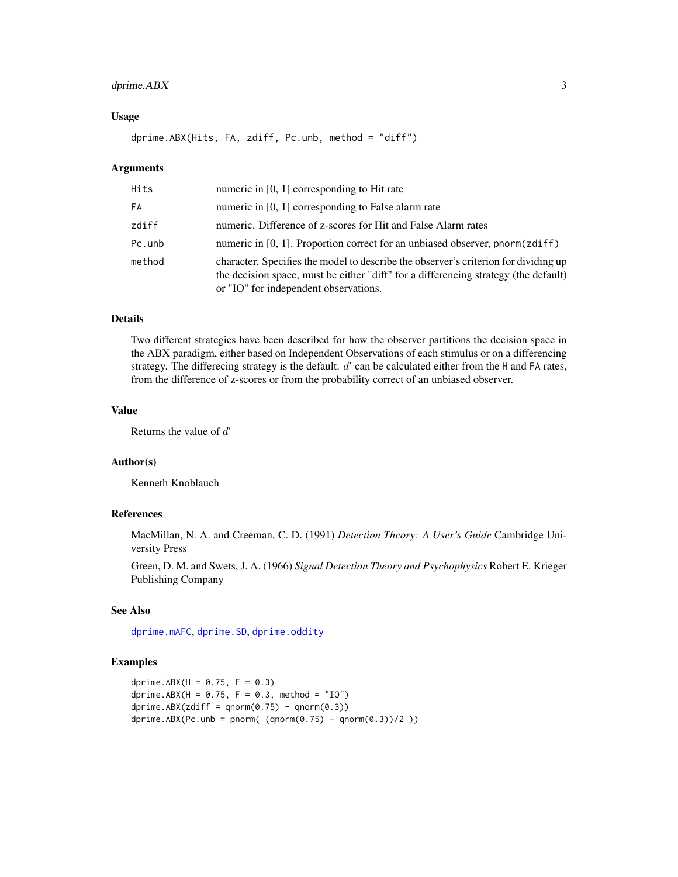# <span id="page-2-0"></span>dprime.ABX 3

# Usage

dprime.ABX(Hits, FA, zdiff, Pc.unb, method = "diff")

### Arguments

| Hits   | numeric in [0, 1] corresponding to Hit rate                                                                                                                                                                         |
|--------|---------------------------------------------------------------------------------------------------------------------------------------------------------------------------------------------------------------------|
| FA     | numeric in $[0, 1]$ corresponding to False alarm rate                                                                                                                                                               |
| zdiff  | numeric. Difference of z-scores for Hit and False Alarm rates                                                                                                                                                       |
| Pc.unb | numeric in [0, 1]. Proportion correct for an unbiased observer, pnorm( $zdiff$ )                                                                                                                                    |
| method | character. Specifies the model to describe the observer's criterion for dividing up<br>the decision space, must be either "diff" for a differencing strategy (the default)<br>or "IO" for independent observations. |

# Details

Two different strategies have been described for how the observer partitions the decision space in the ABX paradigm, either based on Independent Observations of each stimulus or on a differencing strategy. The differecing strategy is the default.  $d'$  can be calculated either from the H and FA rates, from the difference of z-scores or from the probability correct of an unbiased observer.

# Value

Returns the value of  $d'$ 

# Author(s)

Kenneth Knoblauch

#### References

MacMillan, N. A. and Creeman, C. D. (1991) *Detection Theory: A User's Guide* Cambridge University Press

Green, D. M. and Swets, J. A. (1966) *Signal Detection Theory and Psychophysics* Robert E. Krieger Publishing Company

# See Also

[dprime.mAFC](#page-3-1), [dprime.SD](#page-5-1), [dprime.oddity](#page-4-1)

```
dprime.ABX(H = 0.75, F = 0.3)
dprime.ABX(H = 0.75, F = 0.3, method = "10")
dprime.ABX(zdiff = qnorm(0.75) - qnorm(0.3))dprime.ABX(Pc.unb = pnorm( (qnorm(\theta.75) - qnorm(\theta.3))/2))
```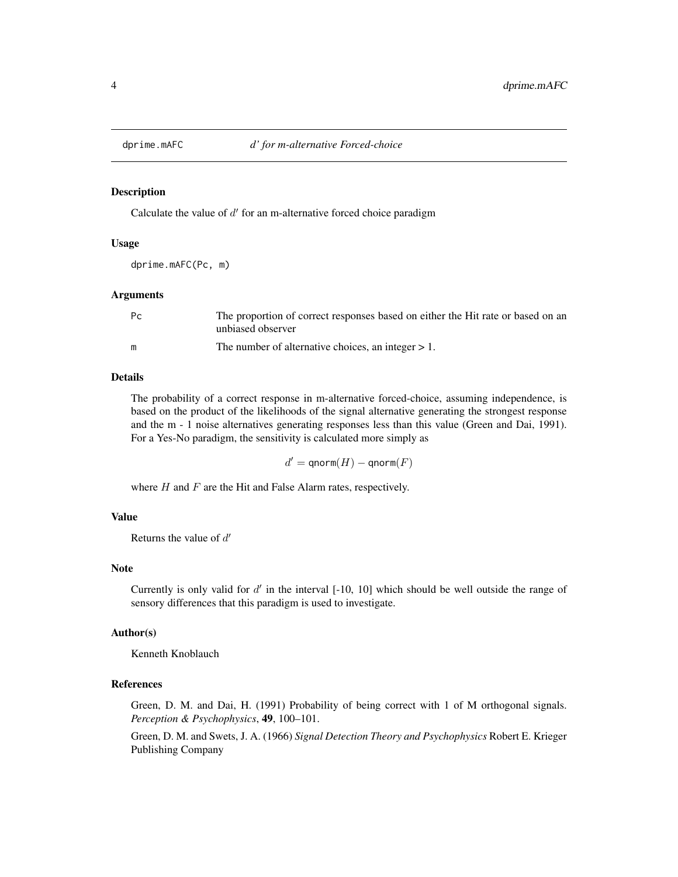<span id="page-3-1"></span><span id="page-3-0"></span>

#### Description

Calculate the value of  $d'$  for an m-alternative forced choice paradigm

# Usage

dprime.mAFC(Pc, m)

#### Arguments

| Pc | The proportion of correct responses based on either the Hit rate or based on an<br>unbiased observer |
|----|------------------------------------------------------------------------------------------------------|
| m  | The number of alternative choices, an integer $> 1$ .                                                |

# Details

The probability of a correct response in m-alternative forced-choice, assuming independence, is based on the product of the likelihoods of the signal alternative generating the strongest response and the m - 1 noise alternatives generating responses less than this value (Green and Dai, 1991). For a Yes-No paradigm, the sensitivity is calculated more simply as

 $d' = \mathsf{qnorm}(H) - \mathsf{qnorm}(F)$ 

where  $H$  and  $F$  are the Hit and False Alarm rates, respectively.

# Value

Returns the value of  $d'$ 

# Note

Currently is only valid for  $d'$  in the interval  $[-10, 10]$  which should be well outside the range of sensory differences that this paradigm is used to investigate.

# Author(s)

Kenneth Knoblauch

# References

Green, D. M. and Dai, H. (1991) Probability of being correct with 1 of M orthogonal signals. *Perception & Psychophysics*, 49, 100–101.

Green, D. M. and Swets, J. A. (1966) *Signal Detection Theory and Psychophysics* Robert E. Krieger Publishing Company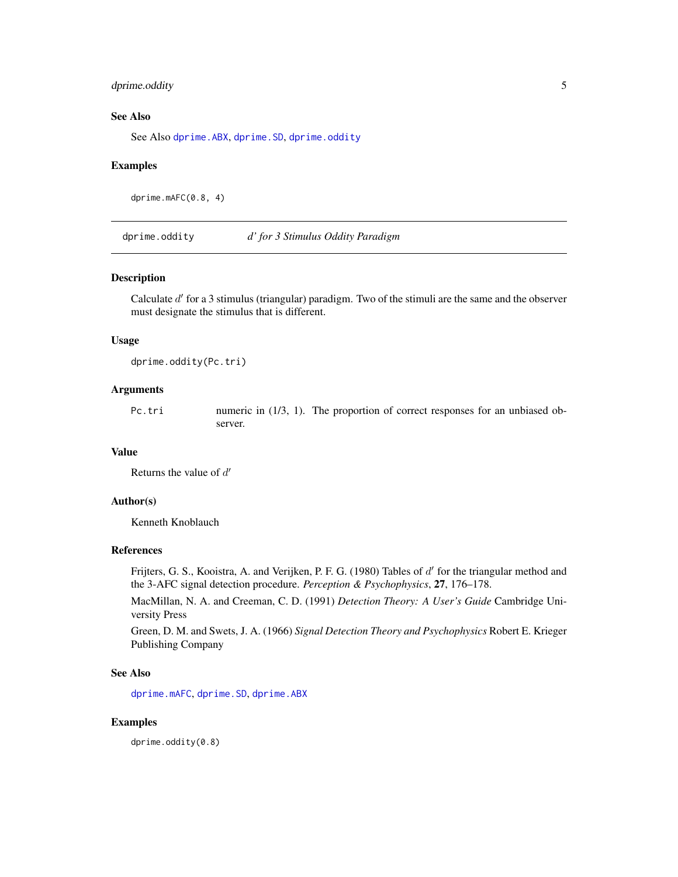# <span id="page-4-0"></span>dprime.oddity 5

# See Also

See Also [dprime.ABX](#page-1-1), [dprime.SD](#page-5-1), [dprime.oddity](#page-4-1)

#### Examples

dprime.mAFC(0.8, 4)

<span id="page-4-1"></span>dprime.oddity *d' for 3 Stimulus Oddity Paradigm*

#### Description

Calculate d' for a 3 stimulus (triangular) paradigm. Two of the stimuli are the same and the observer must designate the stimulus that is different.

# Usage

dprime.oddity(Pc.tri)

# Arguments

Pc.tri numeric in (1/3, 1). The proportion of correct responses for an unbiased observer.

# Value

Returns the value of  $d'$ 

# Author(s)

Kenneth Knoblauch

# References

Frijters, G. S., Kooistra, A. and Verijken, P. F. G. (1980) Tables of d' for the triangular method and the 3-AFC signal detection procedure. *Perception & Psychophysics*, 27, 176–178.

MacMillan, N. A. and Creeman, C. D. (1991) *Detection Theory: A User's Guide* Cambridge University Press

Green, D. M. and Swets, J. A. (1966) *Signal Detection Theory and Psychophysics* Robert E. Krieger Publishing Company

# See Also

[dprime.mAFC](#page-3-1), [dprime.SD](#page-5-1), [dprime.ABX](#page-1-1)

#### Examples

dprime.oddity(0.8)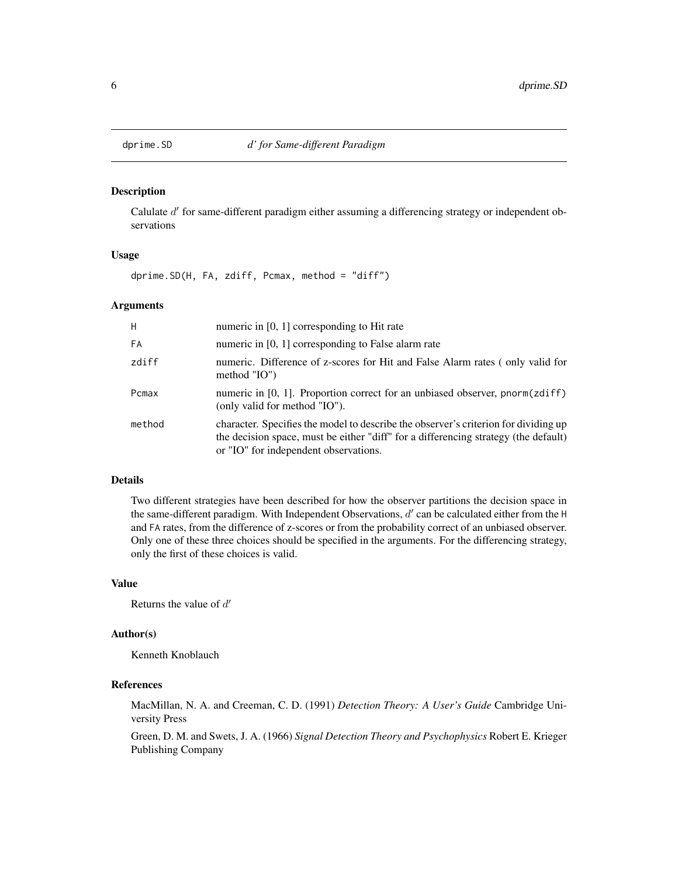<span id="page-5-1"></span><span id="page-5-0"></span>

# Description

Calulate  $d'$  for same-different paradigm either assuming a differencing strategy or independent observations

# Usage

dprime.SD(H, FA, zdiff, Pcmax, method = "diff")

#### Arguments

| H      | numeric in $[0, 1]$ corresponding to Hit rate                                                                                                                                                                       |
|--------|---------------------------------------------------------------------------------------------------------------------------------------------------------------------------------------------------------------------|
| FA     | numeric in [0, 1] corresponding to False alarm rate                                                                                                                                                                 |
| zdiff  | numeric. Difference of z-scores for Hit and False Alarm rates (only valid for<br>method $"IO"$                                                                                                                      |
| Pcmax  | numeric in $[0, 1]$ . Proportion correct for an unbiased observer, pnorm(zdiff)<br>(only valid for method "IO").                                                                                                    |
| method | character. Specifies the model to describe the observer's criterion for dividing up<br>the decision space, must be either "diff" for a differencing strategy (the default)<br>or "IO" for independent observations. |

#### Details

Two different strategies have been described for how the observer partitions the decision space in the same-different paradigm. With Independent Observations,  $d'$  can be calculated either from the H and FA rates, from the difference of z-scores or from the probability correct of an unbiased observer. Only one of these three choices should be specified in the arguments. For the differencing strategy, only the first of these choices is valid.

# Value

Returns the value of  $d'$ 

# Author(s)

Kenneth Knoblauch

# References

MacMillan, N. A. and Creeman, C. D. (1991) *Detection Theory: A User's Guide* Cambridge University Press

Green, D. M. and Swets, J. A. (1966) *Signal Detection Theory and Psychophysics* Robert E. Krieger Publishing Company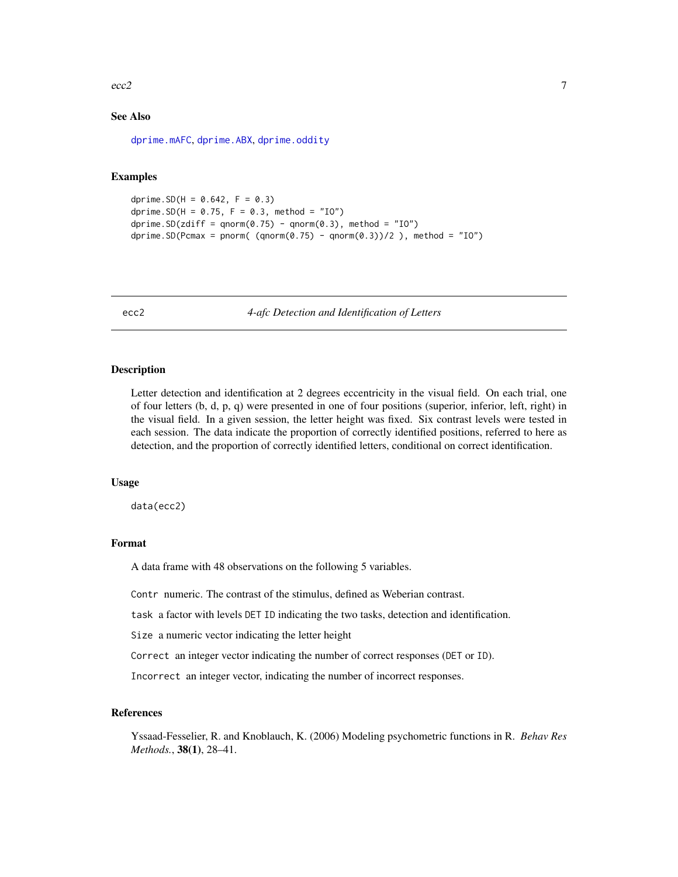#### <span id="page-6-0"></span> $\text{ecc2}$  and  $\text{ecc2}$  and  $\text{ecc2}$  and  $\text{ecc2}$  and  $\text{ecc2}$  and  $\text{ecc2}$  and  $\text{ecc2}$  and  $\text{ecc2}$  and  $\text{ecc2}$  and  $\text{ecc2}$  and  $\text{ecc2}$  and  $\text{ecc2}$  and  $\text{ecc2}$  and  $\text{ecc2}$  and  $\text{ecc2}$  and  $\text{ecc2}$  a

# See Also

[dprime.mAFC](#page-3-1), [dprime.ABX](#page-1-1), [dprime.oddity](#page-4-1)

# Examples

```
dprime.SD(H = 0.642, F = 0.3)
dprime. SD(H = 0.75, F = 0.3, method = "IO")
dprime.SD(zdiff = qnorm(0.75) - qnorm(0.3), method = "IO")
dprime.SD(Pcmax = pnorm( (qnorm(0.75) - qnorm(0.3))/2 ), method = "IO")
```
ecc2 *4-afc Detection and Identification of Letters*

#### Description

Letter detection and identification at 2 degrees eccentricity in the visual field. On each trial, one of four letters (b, d, p, q) were presented in one of four positions (superior, inferior, left, right) in the visual field. In a given session, the letter height was fixed. Six contrast levels were tested in each session. The data indicate the proportion of correctly identified positions, referred to here as detection, and the proportion of correctly identified letters, conditional on correct identification.

#### Usage

data(ecc2)

# Format

A data frame with 48 observations on the following 5 variables.

Contr numeric. The contrast of the stimulus, defined as Weberian contrast.

task a factor with levels DET ID indicating the two tasks, detection and identification.

Size a numeric vector indicating the letter height

Correct an integer vector indicating the number of correct responses (DET or ID).

Incorrect an integer vector, indicating the number of incorrect responses.

#### References

Yssaad-Fesselier, R. and Knoblauch, K. (2006) Modeling psychometric functions in R. *Behav Res Methods.*, 38(1), 28–41.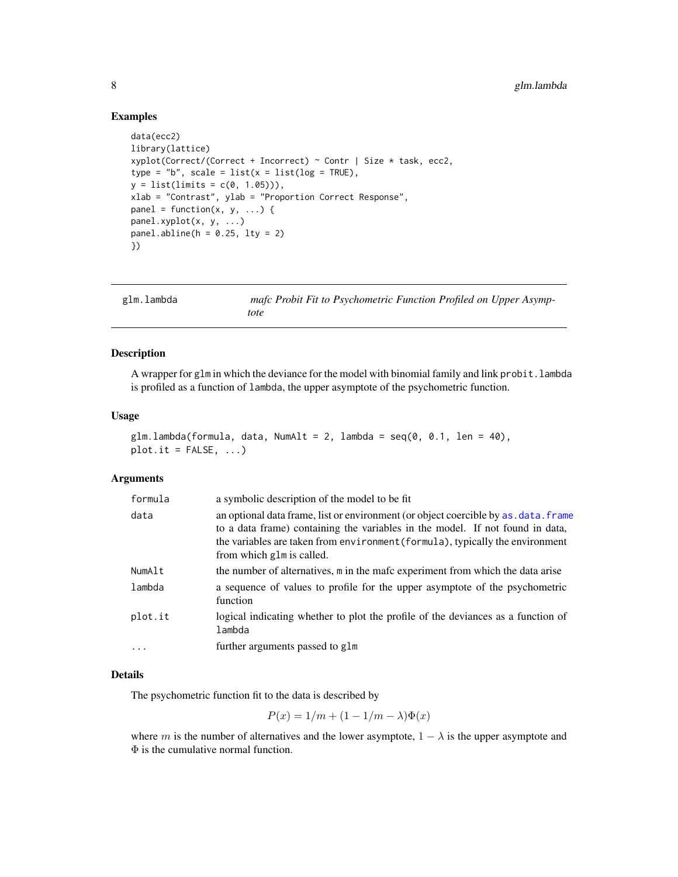# Examples

```
data(ecc2)
library(lattice)
xyplot(Correct/(Correct + Incorrect) ~ ^ c0ntr ~ | ~ Size ~ task, ecc2,type = "b", scale = list(x = list(log = TRUE)),
y = list(limits = c(0, 1.05))),
xlab = "Contrast", ylab = "Proportion Correct Response",
panel = function(x, y, ...)panel.xyplot(x, y, ...)
panel.abline(h = 0.25, lty = 2)
})
```
<span id="page-7-1"></span>

| glm.lambda | mafc Probit Fit to Psychometric Function Profiled on Upper Asymp- |
|------------|-------------------------------------------------------------------|
|            | tote                                                              |

# Description

A wrapper for glm in which the deviance for the model with binomial family and link probit.lambda is profiled as a function of lambda, the upper asymptote of the psychometric function.

#### Usage

```
glm.lambda(formula, data, NumAlt = 2, lambda = seq(0, 0.1, len = 40),
plot.it = FALSE, ...)
```
#### Arguments

| formula    | a symbolic description of the model to be fit                                                                                                                                                                                                                                      |
|------------|------------------------------------------------------------------------------------------------------------------------------------------------------------------------------------------------------------------------------------------------------------------------------------|
| data       | an optional data frame, list or environment (or object coercible by as, data, frame<br>to a data frame) containing the variables in the model. If not found in data,<br>the variables are taken from environment (formula), typically the environment<br>from which glm is called. |
| NumAlt     | the number of alternatives, m in the mafc experiment from which the data arise                                                                                                                                                                                                     |
| lambda     | a sequence of values to profile for the upper asymptote of the psychometric<br>function                                                                                                                                                                                            |
| plot.it    | logical indicating whether to plot the profile of the deviances as a function of<br>lambda                                                                                                                                                                                         |
| $\ddots$ . | further arguments passed to glm                                                                                                                                                                                                                                                    |

# Details

The psychometric function fit to the data is described by

$$
P(x) = 1/m + (1 - 1/m - \lambda)\Phi(x)
$$

where m is the number of alternatives and the lower asymptote,  $1 - \lambda$  is the upper asymptote and Φ is the cumulative normal function.

<span id="page-7-0"></span>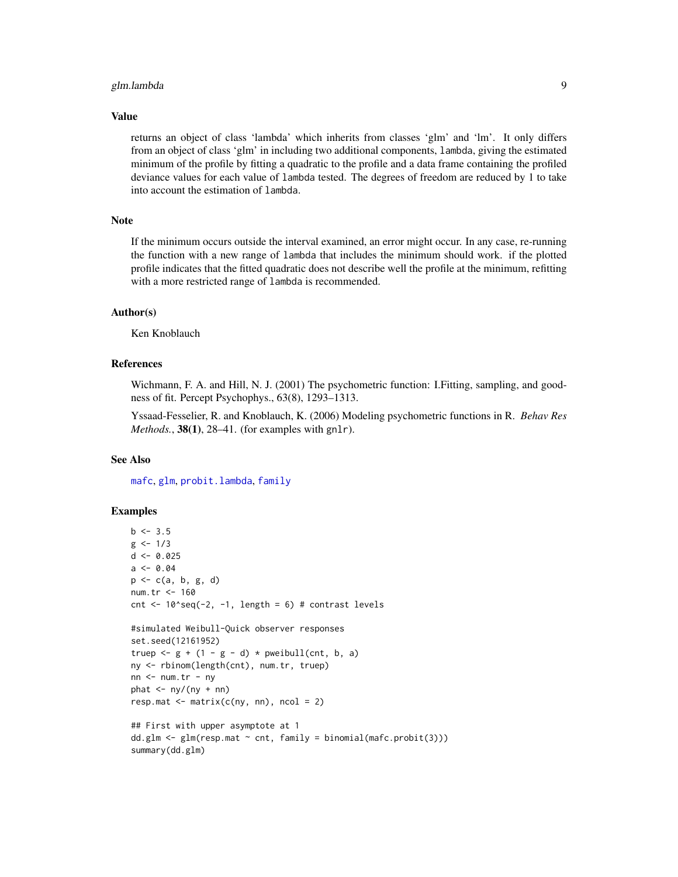# <span id="page-8-0"></span>glm.lambda 9

#### Value

returns an object of class 'lambda' which inherits from classes 'glm' and 'lm'. It only differs from an object of class 'glm' in including two additional components, lambda, giving the estimated minimum of the profile by fitting a quadratic to the profile and a data frame containing the profiled deviance values for each value of lambda tested. The degrees of freedom are reduced by 1 to take into account the estimation of lambda.

# Note

If the minimum occurs outside the interval examined, an error might occur. In any case, re-running the function with a new range of lambda that includes the minimum should work. if the plotted profile indicates that the fitted quadratic does not describe well the profile at the minimum, refitting with a more restricted range of lambda is recommended.

#### Author(s)

Ken Knoblauch

### References

Wichmann, F. A. and Hill, N. J. (2001) The psychometric function: I.Fitting, sampling, and goodness of fit. Percept Psychophys., 63(8), 1293–1313.

Yssaad-Fesselier, R. and Knoblauch, K. (2006) Modeling psychometric functions in R. *Behav Res Methods.*, 38(1), 28–41. (for examples with gnlr).

#### See Also

[mafc](#page-13-1), [glm](#page-0-0), [probit.lambda](#page-15-1), [family](#page-0-0)

```
b \le -3.5g \le -1/3d \leq 0.025a \leftarrow 0.04p <- c(a, b, g, d)
num.tr <- 160
cnt \le 10^seq(-2, -1, length = 6) # contrast levels
#simulated Weibull-Quick observer responses
set.seed(12161952)
truep \leq g + (1 - g - d) * pweibull(cnt, b, a)
ny <- rbinom(length(cnt), num.tr, truep)
nn < - num.tr - nyphat \leq -\frac{ny}{ny + nn}resp.mat \leq matrix(c(ny, nn), ncol = 2)
## First with upper asymptote at 1
dd.glm \leftarrow glm(resp.mat \sim cnt, family = binomial(mafc.probit(3)))summary(dd.glm)
```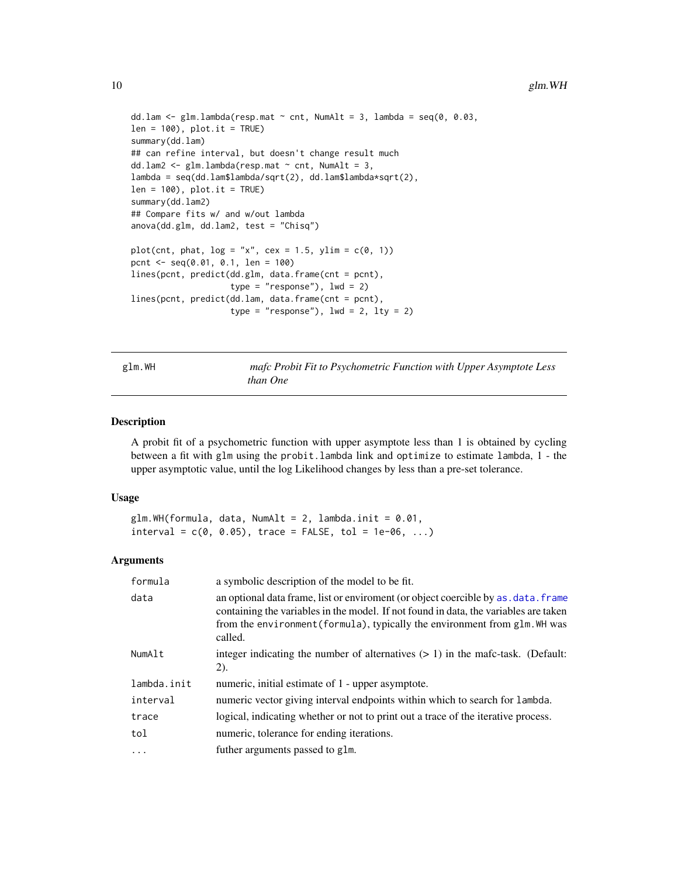```
dd.lam \leq glm.lambda(resp.mat \sim cnt, NumAlt = 3, lambda = seq(0, 0.03,
len = 100, plot.it = TRUE)
summary(dd.lam)
## can refine interval, but doesn't change result much
dd.lam2 <- glm.lambda(resp.mat \sim cnt, NumAlt = 3,
lambda = seq(dd.lam$lambda/sqrt(2), dd.lam$lambda*sqrt(2),
len = 100, plot.it = TRUE)
summary(dd.lam2)
## Compare fits w/ and w/out lambda
anova(dd.glm, dd.lam2, test = "Chisq")
plot(cnt, phat, log = "x", cex = 1.5, ylim = c(0, 1))pcnt <- seq(0.01, 0.1, len = 100)
lines(pcnt, predict(dd.glm, data.frame(cnt = pcnt),
                    type = "response"), lwd = 2)lines(pcnt, predict(dd.lam, data.frame(cnt = pcnt),
                    type = "response"), lwd = 2, lty = 2)
```
<span id="page-9-1"></span>glm.WH *mafc Probit Fit to Psychometric Function with Upper Asymptote Less than One*

# Description

A probit fit of a psychometric function with upper asymptote less than 1 is obtained by cycling between a fit with glm using the probit.lambda link and optimize to estimate lambda, 1 - the upper asymptotic value, until the log Likelihood changes by less than a pre-set tolerance.

# Usage

```
glm.WH(formula, data, NumAlt = 2, lambda.init = 0.01,interval = c(0, 0.05), trace = FALSE, tol = 1e-06, ...)
```
#### Arguments

| formula     | a symbolic description of the model to be fit.                                                                                                                                                                                                                       |
|-------------|----------------------------------------------------------------------------------------------------------------------------------------------------------------------------------------------------------------------------------------------------------------------|
| data        | an optional data frame, list or enviroment (or object coercible by as . data. frame<br>containing the variables in the model. If not found in data, the variables are taken<br>from the environment (formula), typically the environment from glm. WH was<br>called. |
| NumAlt      | integer indicating the number of alternatives $(> 1)$ in the mafc-task. (Default:<br>(2).                                                                                                                                                                            |
| lambda.init | numeric, initial estimate of 1 - upper asymptote.                                                                                                                                                                                                                    |
| interval    | numeric vector giving interval endpoints within which to search for lambda.                                                                                                                                                                                          |
| trace       | logical, indicating whether or not to print out a trace of the iterative process.                                                                                                                                                                                    |
| tol         | numeric, tolerance for ending iterations.                                                                                                                                                                                                                            |
| $\ddots$ .  | futher arguments passed to glm.                                                                                                                                                                                                                                      |

<span id="page-9-0"></span>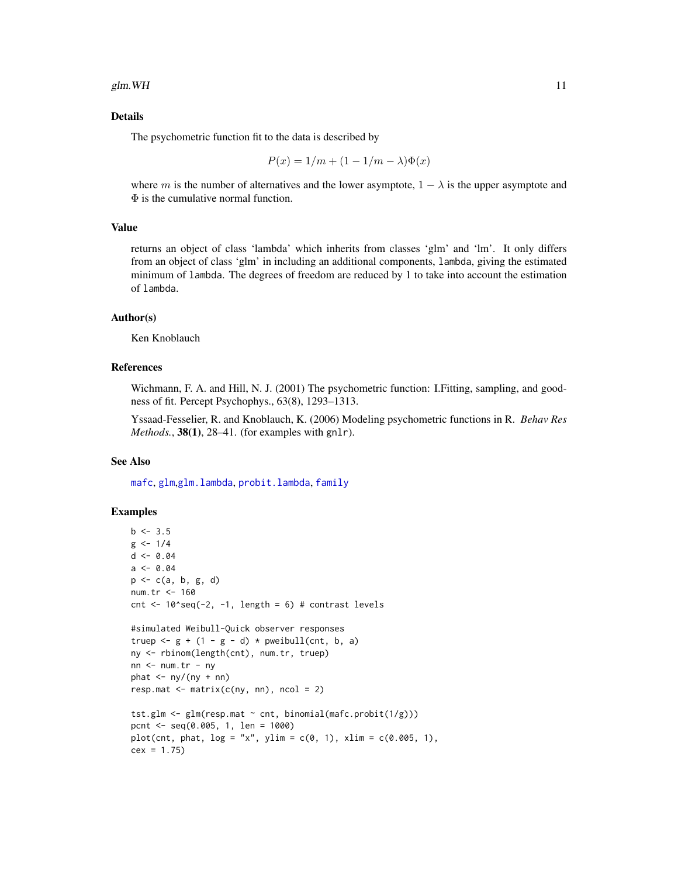#### <span id="page-10-0"></span>Details

The psychometric function fit to the data is described by

$$
P(x) = 1/m + (1 - 1/m - \lambda)\Phi(x)
$$

where m is the number of alternatives and the lower asymptote,  $1 - \lambda$  is the upper asymptote and Φ is the cumulative normal function.

# Value

returns an object of class 'lambda' which inherits from classes 'glm' and 'lm'. It only differs from an object of class 'glm' in including an additional components, lambda, giving the estimated minimum of lambda. The degrees of freedom are reduced by 1 to take into account the estimation of lambda.

#### Author(s)

Ken Knoblauch

#### References

Wichmann, F. A. and Hill, N. J. (2001) The psychometric function: I.Fitting, sampling, and goodness of fit. Percept Psychophys., 63(8), 1293–1313.

Yssaad-Fesselier, R. and Knoblauch, K. (2006) Modeling psychometric functions in R. *Behav Res Methods.*, 38(1), 28–41. (for examples with gnlr).

# See Also

[mafc](#page-13-1), [glm](#page-0-0),[glm.lambda](#page-7-1), [probit.lambda](#page-15-1), [family](#page-0-0)

```
b \le -3.5g \le -1/4d \le -0.04a \leftarrow 0.04p <- c(a, b, g, d)
num.tr <- 160
cnt \le 10^seq(-2, -1, length = 6) # contrast levels
#simulated Weibull-Quick observer responses
truep \leq g + (1 - g - d) * pweibull(cnt, b, a)
ny <- rbinom(length(cnt), num.tr, truep)
nn <- num.tr - ny
phat \leq -\frac{ny}{ny + nn}resp.mat \leq matrix(c(ny, nn), ncol = 2)
tst.glm <- glm(resp.mat \sim cnt, binomial(mafc.probit(1/g)))
pcnt <- seq(0.005, 1, len = 1000)
plot(cnt, phat, log = "x", ylim = c(0, 1), xlim = c(0.005, 1),cex = 1.75)
```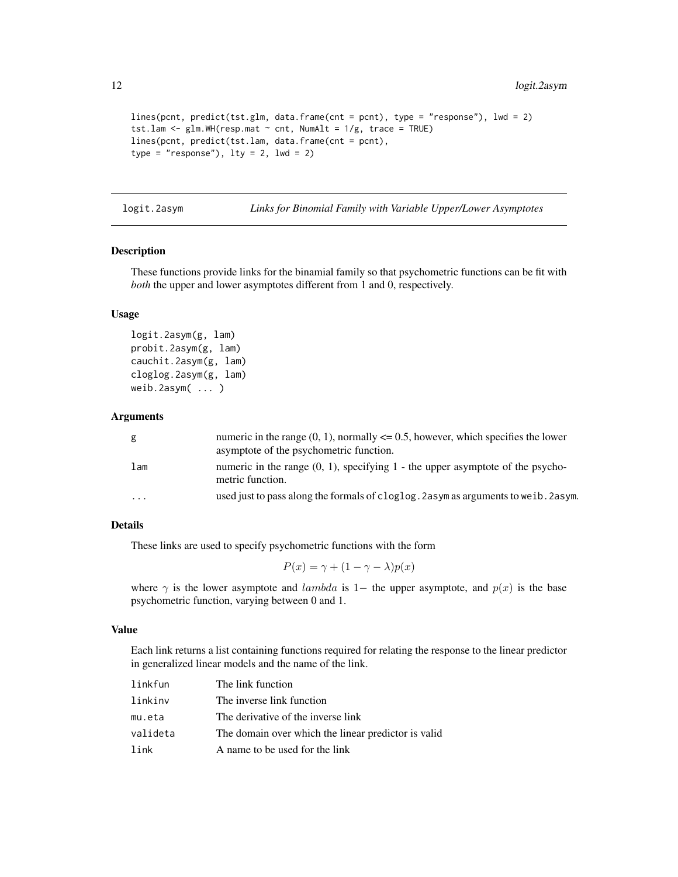```
lines(pcnt, predict(tst.glm, data.frame(cnt = pcnt), type = "response"), lwd = 2)
tst.lam <- glm.WH(resp.mat \sim cnt, NumAlt = 1/g, trace = TRUE)
lines(pcnt, predict(tst.lam, data.frame(cnt = pcnt),
type = "response"), lty = 2, lwd = 2)
```
logit.2asym *Links for Binomial Family with Variable Upper/Lower Asymptotes*

#### Description

These functions provide links for the binamial family so that psychometric functions can be fit with *both* the upper and lower asymptotes different from 1 and 0, respectively.

# Usage

logit.2asym(g, lam) probit.2asym(g, lam) cauchit.2asym(g, lam) cloglog.2asym(g, lam) weib.2asym( ... )

#### Arguments

| g         | numeric in the range $(0, 1)$ , normally $\leq 0.5$ , however, which specifies the lower<br>asymptote of the psychometric function. |
|-----------|-------------------------------------------------------------------------------------------------------------------------------------|
| lam       | numeric in the range $(0, 1)$ , specifying 1 - the upper asymptote of the psycho-<br>metric function.                               |
| $\ddotsc$ | used just to pass along the formals of cloglog. 2 asym as arguments to we ib. 2 asym.                                               |

# Details

These links are used to specify psychometric functions with the form

$$
P(x) = \gamma + (1 - \gamma - \lambda)p(x)
$$

where  $\gamma$  is the lower asymptote and *lambda* is 1− the upper asymptote, and  $p(x)$  is the base psychometric function, varying between 0 and 1.

# Value

Each link returns a list containing functions required for relating the response to the linear predictor in generalized linear models and the name of the link.

| linkfun  | The link function                                   |
|----------|-----------------------------------------------------|
| linkinv  | The inverse link function                           |
| mu.eta   | The derivative of the inverse link                  |
| valideta | The domain over which the linear predictor is valid |
| link     | A name to be used for the link                      |

<span id="page-11-0"></span>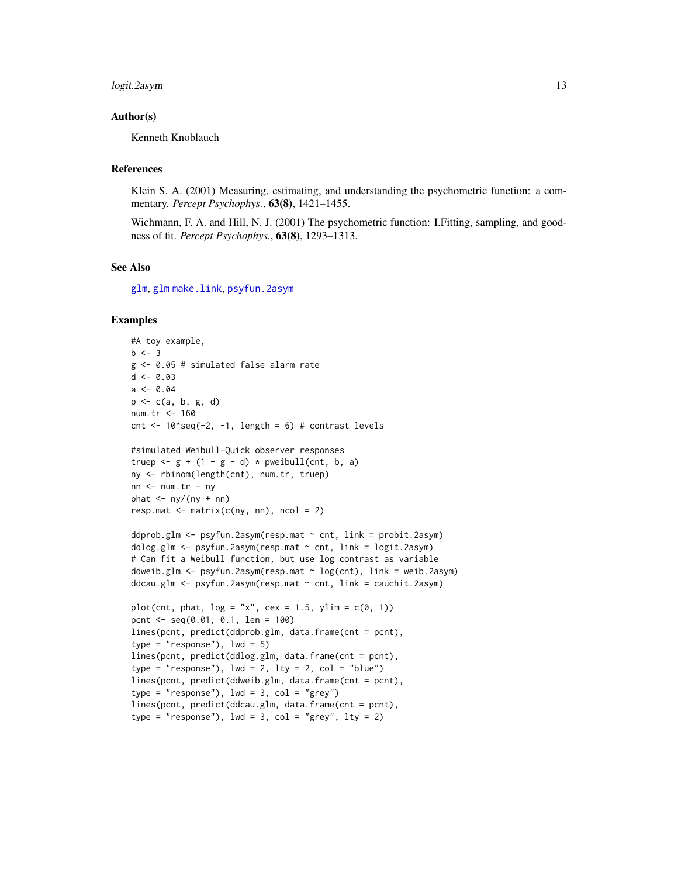# <span id="page-12-0"></span>logit.2asym 13

# Author(s)

Kenneth Knoblauch

#### References

Klein S. A. (2001) Measuring, estimating, and understanding the psychometric function: a commentary. *Percept Psychophys.*, 63(8), 1421–1455.

Wichmann, F. A. and Hill, N. J. (2001) The psychometric function: I.Fitting, sampling, and goodness of fit. *Percept Psychophys.*, 63(8), 1293–1313.

# See Also

[glm](#page-0-0), [glm](#page-0-0) [make.link](#page-0-0), [psyfun.2asym](#page-17-1)

```
#A toy example,
b \le -3g <- 0.05 # simulated false alarm rate
d \le -0.03a \le -0.04p <- c(a, b, g, d)
num.tr <- 160
cnt \le 10^seq(-2, -1, length = 6) # contrast levels
#simulated Weibull-Quick observer responses
truep \leftarrow g + (1 - g - d) * pweibull(cnt, b, a)
ny <- rbinom(length(cnt), num.tr, truep)
nn <- num.tr - ny
phat \leq -\frac{ny}{ny + nn}resp.mat \leq matrix(c(ny, nn), ncol = 2)
ddprob.glm <- psyfun.2asym(resp.mat ~ cnt, link = probit.2asym)
ddlog.glm <- psyfun.2asym(resp.mat ~ cnt, link = logit.2asym)
# Can fit a Weibull function, but use log contrast as variable
ddweib.glm <- psyfun.2asym(resp.mat ~ log(cnt), link = weib.2asym)
ddcau.glm \leftarrow psyfun.2asym(resp.mat \sim cnt, link = cauchit.2asym)plot(cnt, phat, log = "x", cex = 1.5, ylim = c(0, 1))pcnt <- seq(0.01, 0.1, len = 100)
lines(pcnt, predict(ddprob.glm, data.frame(cnt = pcnt),
type = "response"), 1wd = 5)
lines(pcnt, predict(ddlog.glm, data.frame(cnt = pcnt),
type = "response"), lwd = 2, lty = 2, col = "blue")lines(pcnt, predict(ddweib.glm, data.frame(cnt = pcnt),
type = "response"), 1wd = 3, col = "grey")lines(pcnt, predict(ddcau.glm, data.frame(cnt = pcnt),
type = "response"), 1wd = 3, col = "grey", 1ty = 2)
```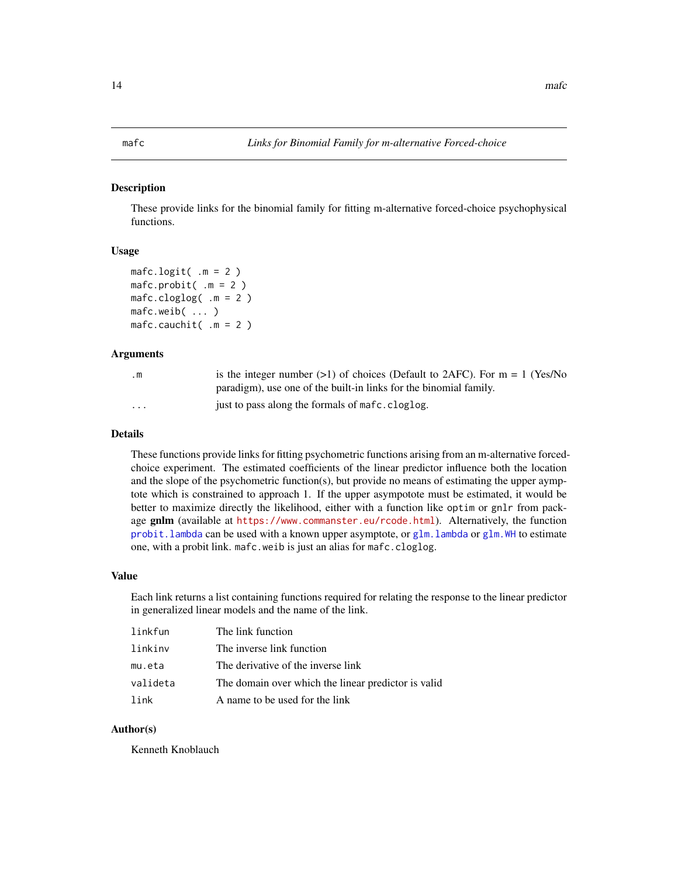# <span id="page-13-1"></span><span id="page-13-0"></span>Description

These provide links for the binomial family for fitting m-alternative forced-choice psychophysical functions.

# Usage

```
m = 2)
mafc.probit( .m = 2)
mafc.cloglog( .m = 2)
mafc.weib( ... )
mafc.cauchit( .m = 2)
```
# Arguments

| $\cdot$ m               | is the integer number (>1) of choices (Default to 2AFC). For $m = 1$ (Yes/No |
|-------------------------|------------------------------------------------------------------------------|
|                         | paradigm), use one of the built-in links for the binomial family.            |
| $\cdot$ $\cdot$ $\cdot$ | just to pass along the formals of mafc.cloglog.                              |

# Details

These functions provide links for fitting psychometric functions arising from an m-alternative forcedchoice experiment. The estimated coefficients of the linear predictor influence both the location and the slope of the psychometric function(s), but provide no means of estimating the upper aymptote which is constrained to approach 1. If the upper asympotote must be estimated, it would be better to maximize directly the likelihood, either with a function like optim or gnlr from package gnlm (available at <https://www.commanster.eu/rcode.html>). Alternatively, the function [probit.lambda](#page-15-1) can be used with a known upper asymptote, or [glm.lambda](#page-7-1) or [glm.WH](#page-9-1) to estimate one, with a probit link. mafc.weib is just an alias for mafc.cloglog.

#### Value

Each link returns a list containing functions required for relating the response to the linear predictor in generalized linear models and the name of the link.

| linkfun  | The link function                                   |
|----------|-----------------------------------------------------|
| linkinv  | The inverse link function                           |
| mu.eta   | The derivative of the inverse link                  |
| valideta | The domain over which the linear predictor is valid |
| link     | A name to be used for the link                      |

#### Author(s)

Kenneth Knoblauch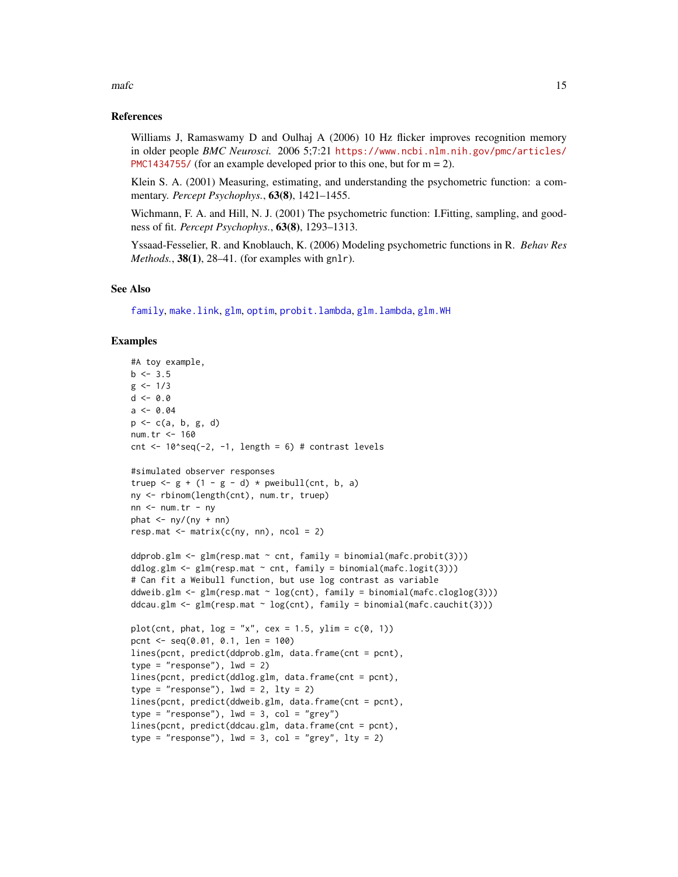#### <span id="page-14-0"></span> $m$ afc  $\frac{15}{2}$

# References

Williams J, Ramaswamy D and Oulhaj A (2006) 10 Hz flicker improves recognition memory in older people *BMC Neurosci.* 2006 5;7:21 [https://www.ncbi.nlm.nih.gov/pmc/articles/](https://www.ncbi.nlm.nih.gov/pmc/articles/PMC1434755/) [PMC1434755/](https://www.ncbi.nlm.nih.gov/pmc/articles/PMC1434755/) (for an example developed prior to this one, but for  $m = 2$ ).

Klein S. A. (2001) Measuring, estimating, and understanding the psychometric function: a commentary. *Percept Psychophys.*, 63(8), 1421–1455.

Wichmann, F. A. and Hill, N. J. (2001) The psychometric function: I.Fitting, sampling, and goodness of fit. *Percept Psychophys.*, 63(8), 1293–1313.

Yssaad-Fesselier, R. and Knoblauch, K. (2006) Modeling psychometric functions in R. *Behav Res Methods.*, **38(1)**, 28–41. (for examples with gnlr).

# See Also

[family](#page-0-0), [make.link](#page-0-0), [glm](#page-0-0), [optim](#page-0-0), [probit.lambda](#page-15-1), [glm.lambda](#page-7-1), [glm.WH](#page-9-1)

```
#A toy example,
b \le -3.5g \le -1/3d \le -0.0a \leq 0.04p <- c(a, b, g, d)
num.tr <- 160
cnt \le 10^seq(-2, -1, length = 6) # contrast levels
#simulated observer responses
truep \leftarrow g + (1 - g - d) * pweibull(cnt, b, a)
ny <- rbinom(length(cnt), num.tr, truep)
nn < -num.tr - nyphat \langle -ny/(ny + nn) \rangleresp.mat \leq matrix(c(ny, nn), ncol = 2)
ddprob.glm <- glm(resp.mat \sim cnt, family = binomial(mafc.probit(3)))
ddlog.glm <- glm(resp.mat \sim cnt, family = binomial(mafc.logit(3)))
# Can fit a Weibull function, but use log contrast as variable
ddweib.glm \leq glm(resp.mat \sim log(cnt), family = binomial(mafc.cloglog(3)))
ddcau.glm \leq glm(resp.mat \sim log(cnt), family = binomial(mafc.cauchit(3)))
plot(cnt, phat, log = "x", cex = 1.5, ylim = c(0, 1))
pcnt <- seq(0.01, 0.1, len = 100)
lines(pcnt, predict(ddprob.glm, data.frame(cnt = pcnt),
type = "response"), 1wd = 2)
lines(pcnt, predict(ddlog.glm, data.frame(cnt = pcnt),
type = "response"), lwd = 2, lty = 2)
lines(pcnt, predict(ddweib.glm, data.frame(cnt = pcnt),
type = "response"), 1wd = 3, col = "grey")lines(pcnt, predict(ddcau.glm, data.frame(cnt = pcnt),
type = "response"), 1wd = 3, col = "grey", 1ty = 2)
```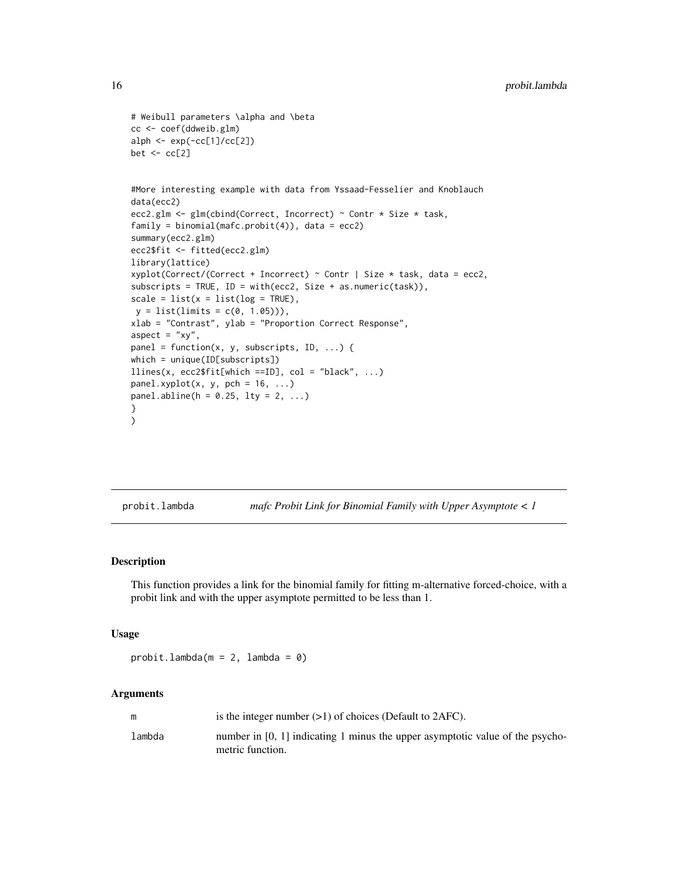```
# Weibull parameters \alpha and \beta
cc <- coef(ddweib.glm)
alph <- exp(-cc[1]/cc[2])
bet \leftarrow cc[2]
#More interesting example with data from Yssaad-Fesselier and Knoblauch
data(ecc2)
ecc2.glm <- glm(cbind(Correct, Incorrect) ~ Contr * Size * task,
family = binomial(mafc.probit(4)), data = ecc2)summary(ecc2.glm)
ecc2$fit <- fitted(ecc2.glm)
library(lattice)
xyplot(Correct/(Correct + Incorrect) ~ ^cCont ~ | ~ Size ~ task, data = ecc2,subscripts = TRUE, ID = with(ecc2, Size + as.numeric(task)),
scale = list(x = list(log = TRUE),y = list(limits = c(0, 1.05))),
xlab = "Contrast", ylab = "Proportion Correct Response",
aspect = "xy",
panel = function(x, y, subscripts, ID, \ldots) {
which = unique(ID[subscripts])
llines(x, ecc2$fit[which == ID], col = "black", ...)panelxyplot(x, y, pch = 16, ...)panel.abline(h = 0.25, lty = 2, ...)
}
)
```
<span id="page-15-1"></span>probit.lambda *mafc Probit Link for Binomial Family with Upper Asymptote < 1*

# Description

This function provides a link for the binomial family for fitting m-alternative forced-choice, with a probit link and with the upper asymptote permitted to be less than 1.

#### Usage

```
probit.lambda(m = 2, lambda = 0)
```
# Arguments

| m      | is the integer number $(>1)$ of choices (Default to 2AFC).                                          |
|--------|-----------------------------------------------------------------------------------------------------|
| lambda | number in $[0, 1]$ indicating 1 minus the upper asymptotic value of the psycho-<br>metric function. |

<span id="page-15-0"></span>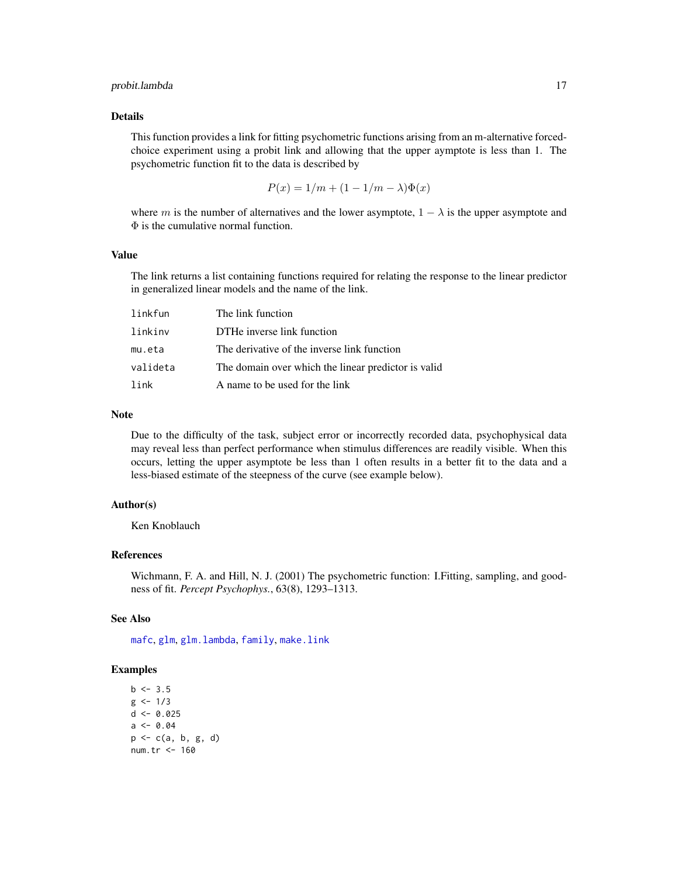# <span id="page-16-0"></span>probit.lambda 17

# Details

This function provides a link for fitting psychometric functions arising from an m-alternative forcedchoice experiment using a probit link and allowing that the upper aymptote is less than 1. The psychometric function fit to the data is described by

$$
P(x) = 1/m + (1 - 1/m - \lambda)\Phi(x)
$$

where m is the number of alternatives and the lower asymptote,  $1 - \lambda$  is the upper asymptote and  $\Phi$  is the cumulative normal function.

# Value

The link returns a list containing functions required for relating the response to the linear predictor in generalized linear models and the name of the link.

| linkfun  | The link function                                   |
|----------|-----------------------------------------------------|
| linkinv  | DTHe inverse link function                          |
| mu.eta   | The derivative of the inverse link function         |
| valideta | The domain over which the linear predictor is valid |
| link     | A name to be used for the link                      |

#### Note

Due to the difficulty of the task, subject error or incorrectly recorded data, psychophysical data may reveal less than perfect performance when stimulus differences are readily visible. When this occurs, letting the upper asymptote be less than 1 often results in a better fit to the data and a less-biased estimate of the steepness of the curve (see example below).

# Author(s)

Ken Knoblauch

# References

Wichmann, F. A. and Hill, N. J. (2001) The psychometric function: I.Fitting, sampling, and goodness of fit. *Percept Psychophys.*, 63(8), 1293–1313.

# See Also

[mafc](#page-13-1), [glm](#page-0-0), [glm.lambda](#page-7-1), [family](#page-0-0), [make.link](#page-0-0)

```
b \le -3.5g \le -1/3d < -0.025a \le -0.04p \leftarrow c(a, b, g, d)num.tr <- 160
```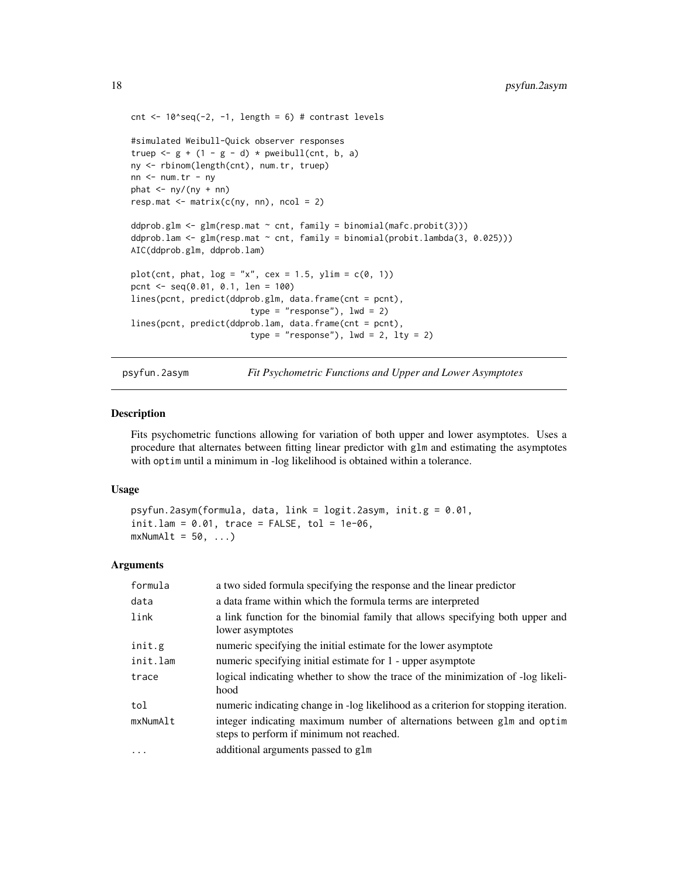```
cnt \le 10^seq(-2, -1, length = 6) # contrast levels
#simulated Weibull-Quick observer responses
truep \leftarrow g + (1 - g - d) * pweibull(cnt, b, a)
ny <- rbinom(length(cnt), num.tr, truep)
nn <- num.tr - ny
phat \leftarrow ny/(ny + nn)resp. mat < - matrix(c(ny, nn), ncol = 2)ddprob.glm \leq glm(resp.mat \sim cnt, family = binomial(mafc.probit(3)))
ddprob.lam <- glm(resp.mat ~ cnt, family = binomial(probit.lambda(3, 0.025)))
AIC(ddprob.glm, ddprob.lam)
plot(cnt, phat, log = "x", cex = 1.5, ylim = c(0, 1))pcnt <- seq(0.01, 0.1, len = 100)
lines(pcnt, predict(ddprob.glm, data.frame(cnt = pcnt),
                        type = "response"), lwd = 2)
lines(pcnt, predict(ddprob.lam, data.frame(cnt = pcnt),
                        type = "response"), lwd = 2, lty = 2)
```
psyfun.2asym *Fit Psychometric Functions and Upper and Lower Asymptotes*

#### Description

Fits psychometric functions allowing for variation of both upper and lower asymptotes. Uses a procedure that alternates between fitting linear predictor with glm and estimating the asymptotes with optim until a minimum in -log likelihood is obtained within a tolerance.

#### Usage

```
psyfun.2asym(formula, data, link = logit.2asym, init.g = 0.01,
init.lang = 0.01, trace = FALSE, tol = 1e-06,
mxNumAlt = 50, ...
```
# Arguments

| formula  | a two sided formula specifying the response and the linear predictor                                                |
|----------|---------------------------------------------------------------------------------------------------------------------|
| data     | a data frame within which the formula terms are interpreted                                                         |
| link     | a link function for the binomial family that allows specifying both upper and<br>lower asymptotes                   |
| init.g   | numeric specifying the initial estimate for the lower asymptote                                                     |
| init.lam | numeric specifying initial estimate for 1 - upper asymptote                                                         |
| trace    | logical indicating whether to show the trace of the minimization of -log likeli-<br>hood                            |
| tol      | numeric indicating change in -log likelihood as a criterion for stopping iteration.                                 |
| mxNumAlt | integer indicating maximum number of alternations between glm and optim<br>steps to perform if minimum not reached. |
| $\cdot$  | additional arguments passed to glm                                                                                  |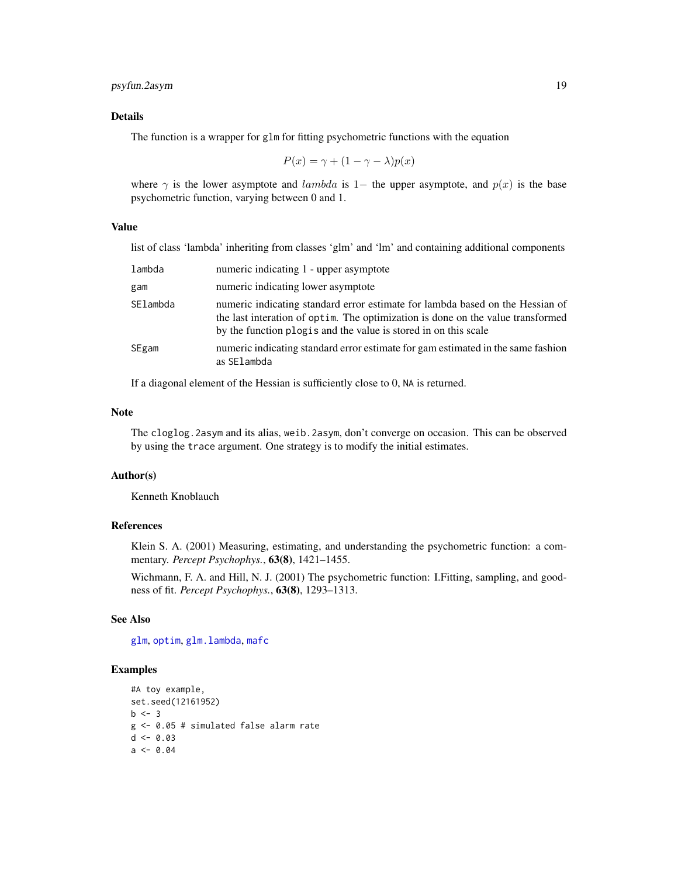# <span id="page-18-0"></span>psyfun.2asym 19

# Details

The function is a wrapper for glm for fitting psychometric functions with the equation

$$
P(x) = \gamma + (1 - \gamma - \lambda)p(x)
$$

where  $\gamma$  is the lower asymptote and *lambda* is 1− the upper asymptote, and  $p(x)$  is the base psychometric function, varying between 0 and 1.

# Value

list of class 'lambda' inheriting from classes 'glm' and 'lm' and containing additional components

| lambda   | numeric indicating 1 - upper asymptote                                                                                                                                                                                               |
|----------|--------------------------------------------------------------------------------------------------------------------------------------------------------------------------------------------------------------------------------------|
| gam      | numeric indicating lower asymptote                                                                                                                                                                                                   |
| SElambda | numeric indicating standard error estimate for lambda based on the Hessian of<br>the last interation of optim. The optimization is done on the value transformed<br>by the function plog is and the value is stored in on this scale |
| SEgam    | numeric indicating standard error estimate for gam estimated in the same fashion<br>as SElambda                                                                                                                                      |

If a diagonal element of the Hessian is sufficiently close to 0, NA is returned.

#### Note

The cloglog.2asym and its alias, weib.2asym, don't converge on occasion. This can be observed by using the trace argument. One strategy is to modify the initial estimates.

# Author(s)

Kenneth Knoblauch

#### References

Klein S. A. (2001) Measuring, estimating, and understanding the psychometric function: a commentary. *Percept Psychophys.*, 63(8), 1421–1455.

Wichmann, F. A. and Hill, N. J. (2001) The psychometric function: I.Fitting, sampling, and goodness of fit. *Percept Psychophys.*, 63(8), 1293–1313.

# See Also

[glm](#page-0-0), [optim](#page-0-0), [glm.lambda](#page-7-1), [mafc](#page-13-1)

```
#A toy example,
set.seed(12161952)
b \le -3g <- 0.05 # simulated false alarm rate
d \le -0.03a \le -0.04
```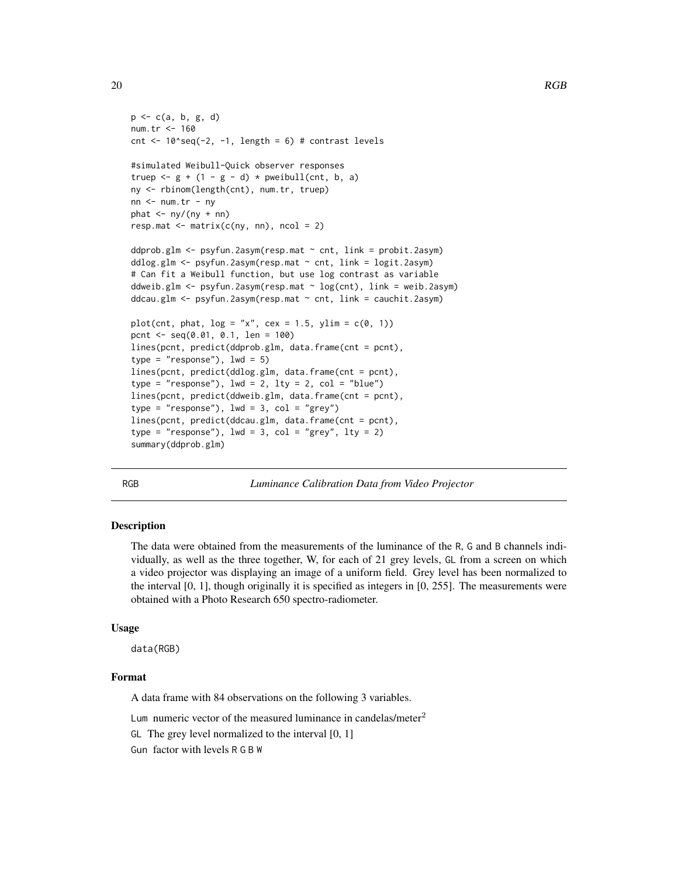```
p \leftarrow c(a, b, g, d)num.tr <- 160
cnt <-10^seq(-2, -1, length = 6) # contrast levels
#simulated Weibull-Quick observer responses
truep \leftarrow g + (1 - g - d) * pweibull(cnt, b, a)
ny <- rbinom(length(cnt), num.tr, truep)
nn < - num.tr - nyphat \leftarrow ny/(ny + nn)resp.mat \leq matrix(c(ny, nn), ncol = 2)
ddprob.glm <- psyfun.2asym(resp.mat ~ cnt, link = probit.2asym)
ddlog.glm <- psyfun.2asym(resp.mat ~ cnt, link = logit.2asym)
# Can fit a Weibull function, but use log contrast as variable
ddweib.glm <- psyfun.2asym(resp.mat ~ log(cnt), link = weib.2asym)
ddcau.glm <- psyfun.2asym(resp.mat ~ cnt, link = cauchit.2asym)
plot(cnt, phat, log = "x", cex = 1.5, ylim = c(0, 1))pcnt <- seq(0.01, 0.1, len = 100)
lines(pcnt, predict(ddprob.glm, data.frame(cnt = pcnt),
type = "response"), 1wd = 5)
lines(pcnt, predict(ddlog.glm, data.frame(cnt = pcnt),
type = "response"), lwd = 2, lty = 2, col = "blue")
lines(pcnt, predict(ddweib.glm, data.frame(cnt = pcnt),
type = "response"), lwd = 3, col = "grey")lines(pcnt, predict(ddcau.glm, data.frame(cnt = pcnt),
type = "response"), 1wd = 3, col = "grey", 1ty = 2)summary(ddprob.glm)
```
RGB *Luminance Calibration Data from Video Projector*

# **Description**

The data were obtained from the measurements of the luminance of the R, G and B channels individually, as well as the three together, W, for each of 21 grey levels, GL from a screen on which a video projector was displaying an image of a uniform field. Grey level has been normalized to the interval  $[0, 1]$ , though originally it is specified as integers in  $[0, 255]$ . The measurements were obtained with a Photo Research 650 spectro-radiometer.

#### Usage

data(RGB)

# Format

A data frame with 84 observations on the following 3 variables.

Lum numeric vector of the measured luminance in candelas/meter<sup>2</sup>

GL The grey level normalized to the interval [0, 1]

Gun factor with levels R G B W

<span id="page-19-0"></span>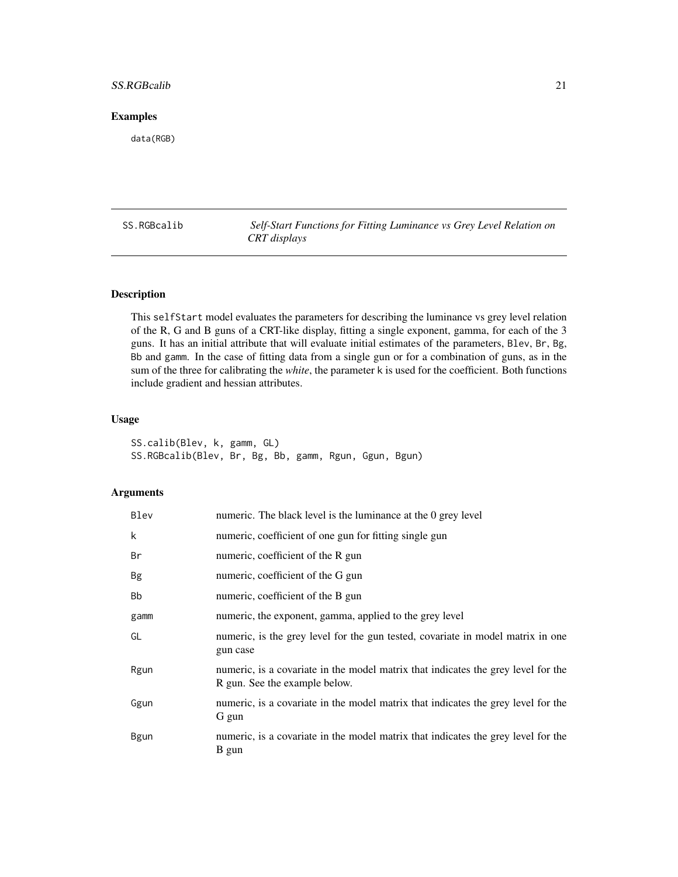# <span id="page-20-0"></span>SS.RGBcalib 21

# Examples

data(RGB)

SS.RGBcalib *Self-Start Functions for Fitting Luminance vs Grey Level Relation on CRT displays*

# Description

This selfStart model evaluates the parameters for describing the luminance vs grey level relation of the R, G and B guns of a CRT-like display, fitting a single exponent, gamma, for each of the 3 guns. It has an initial attribute that will evaluate initial estimates of the parameters, Blev, Br, Bg, Bb and gamm. In the case of fitting data from a single gun or for a combination of guns, as in the sum of the three for calibrating the *white*, the parameter k is used for the coefficient. Both functions include gradient and hessian attributes.

# Usage

SS.calib(Blev, k, gamm, GL) SS.RGBcalib(Blev, Br, Bg, Bb, gamm, Rgun, Ggun, Bgun)

# Arguments

| Blev        | numeric. The black level is the luminance at the 0 grey level                                                      |
|-------------|--------------------------------------------------------------------------------------------------------------------|
| k           | numeric, coefficient of one gun for fitting single gun                                                             |
| Βr          | numeric, coefficient of the R gun                                                                                  |
| <b>Bg</b>   | numeric, coefficient of the G gun                                                                                  |
| <b>Bb</b>   | numeric, coefficient of the B gun                                                                                  |
| gamm        | numeric, the exponent, gamma, applied to the grey level                                                            |
| GL          | numeric, is the grey level for the gun tested, covariate in model matrix in one<br>gun case                        |
| Rgun        | numeric, is a covariate in the model matrix that indicates the grey level for the<br>R gun. See the example below. |
| Ggun        | numeric, is a covariate in the model matrix that indicates the grey level for the<br>G gun                         |
| <b>Bgun</b> | numeric, is a covariate in the model matrix that indicates the grey level for the<br>B gun                         |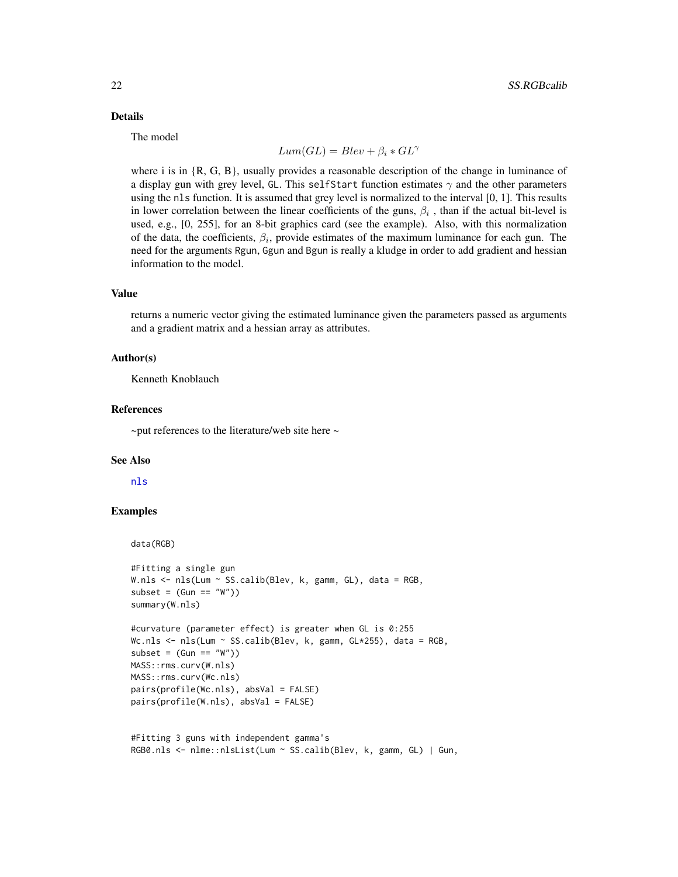# <span id="page-21-0"></span>Details

The model

$$
Lum(GL) = Blev + \beta_i * GL^{\gamma}
$$

where i is in  $\{R, G, B\}$ , usually provides a reasonable description of the change in luminance of a display gun with grey level, GL. This selfStart function estimates  $\gamma$  and the other parameters using the nls function. It is assumed that grey level is normalized to the interval [0, 1]. This results in lower correlation between the linear coefficients of the guns,  $\beta_i$ , than if the actual bit-level is used, e.g., [0, 255], for an 8-bit graphics card (see the example). Also, with this normalization of the data, the coefficients,  $\beta_i$ , provide estimates of the maximum luminance for each gun. The need for the arguments Rgun, Ggun and Bgun is really a kludge in order to add gradient and hessian information to the model.

# Value

returns a numeric vector giving the estimated luminance given the parameters passed as arguments and a gradient matrix and a hessian array as attributes.

#### Author(s)

Kenneth Knoblauch

#### References

 $\sim$ put references to the literature/web site here  $\sim$ 

#### See Also

[nls](#page-0-0)

# Examples

data(RGB)

```
#Fitting a single gun
W.nls <- nls(Lum ~ SS.calib(Blev, k, gamm, GL), data = RGB,
subset = (Gun == "W")summary(W.nls)
```

```
#curvature (parameter effect) is greater when GL is 0:255
Wc.nls <- nls(Lum ~ SS.calib(Blev, k, gamm, GL*255), data = RGB,
subset = (Gun == "W")MASS::rms.curv(W.nls)
MASS::rms.curv(Wc.nls)
pairs(profile(Wc.nls), absVal = FALSE)
pairs(profile(W.nls), absVal = FALSE)
```

```
#Fitting 3 guns with independent gamma's
RGB0.nls <- nlme::nlsList(Lum ~ SS.calib(Blev, k, gamm, GL) | Gun,
```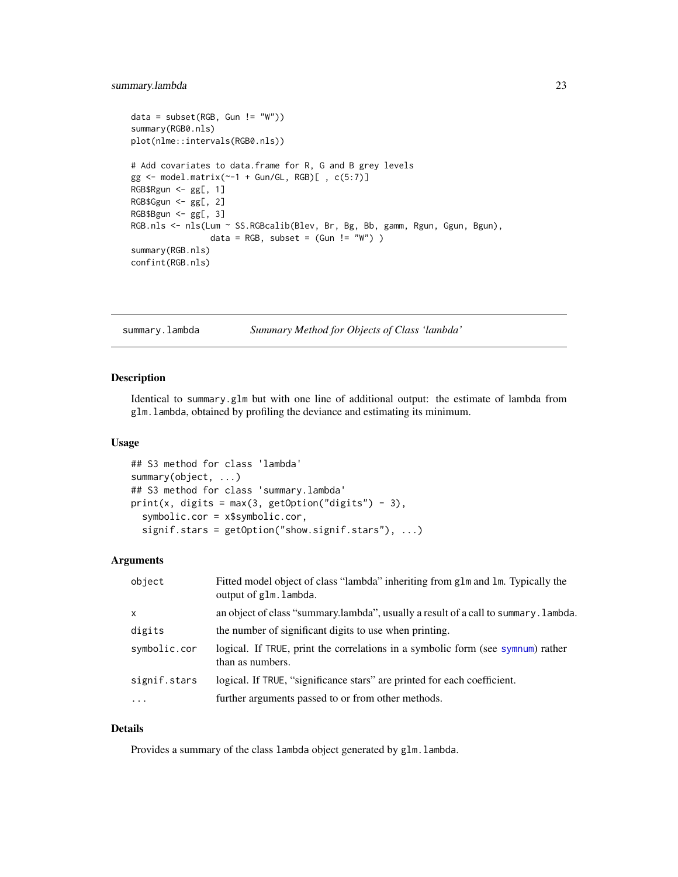# <span id="page-22-0"></span>summary.lambda 23

```
data = subset(RGB, Gun != "W")summary(RGB0.nls)
plot(nlme::intervals(RGB0.nls))
# Add covariates to data.frame for R, G and B grey levels
gg \leftarrow model.matrix(\sim-1 + Gun/GL, RGB)[, c(5:7)]RGB$Rgun <- gg[, 1]
RGB$Ggun <- gg[, 2]
RGB$Bgun <- gg[, 3]
RGB.nls <- nls(Lum ~ SS.RGBcalib(Blev, Br, Bg, Bb, gamm, Rgun, Ggun, Bgun),
                data = RGB, subset = (Gun != "W"))
summary(RGB.nls)
confint(RGB.nls)
```

```
summary.lambda Summary Method for Objects of Class 'lambda'
```
# Description

Identical to summary.glm but with one line of additional output: the estimate of lambda from glm.lambda, obtained by profiling the deviance and estimating its minimum.

# Usage

```
## S3 method for class 'lambda'
summary(object, ...)
## S3 method for class 'summary.lambda'
print(x, \text{ digits} = max(3, \text{ getOption("digits")} - 3),symbolic.cor = x$symbolic.cor,
  signif.stars = getOption("show.signif.stars"), ...)
```
#### Arguments

| object       | Fitted model object of class "lambda" inheriting from glm and lm. Typically the<br>output of glm. lambda. |
|--------------|-----------------------------------------------------------------------------------------------------------|
| $\mathsf{X}$ | an object of class "summary.lambda", usually a result of a call to summary. Lambda.                       |
| digits       | the number of significant digits to use when printing.                                                    |
| symbolic.cor | logical. If TRUE, print the correlations in a symbolic form (see symnum) rather<br>than as numbers.       |
| signif.stars | logical. If TRUE, "significance stars" are printed for each coefficient.                                  |
| $\ddotsc$    | further arguments passed to or from other methods.                                                        |

# Details

Provides a summary of the class lambda object generated by glm.lambda.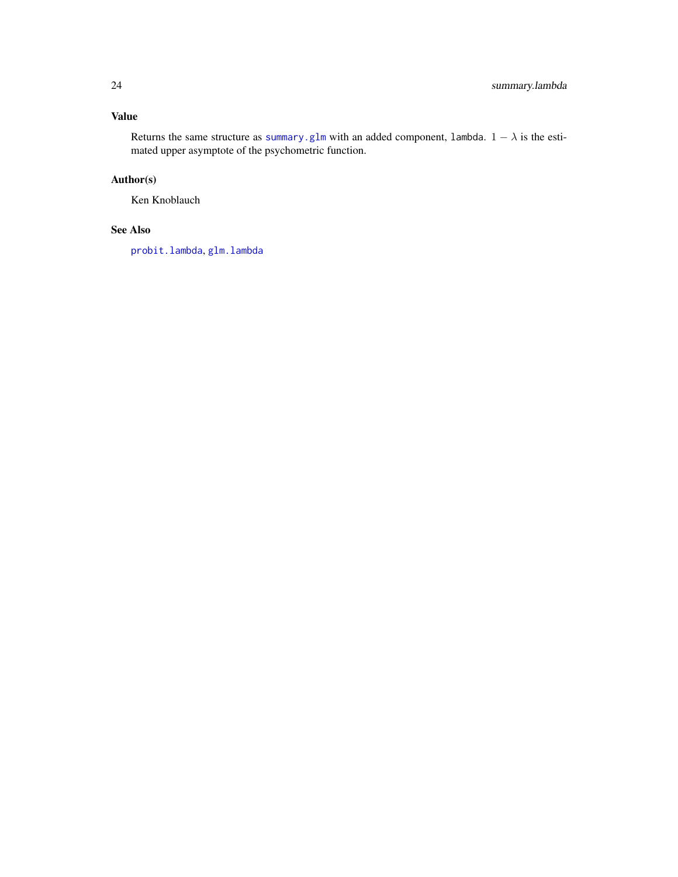# <span id="page-23-0"></span>Value

Returns the same structure as [summary.glm](#page-0-0) with an added component, lambda.  $1 - \lambda$  is the estimated upper asymptote of the psychometric function.

# Author(s)

Ken Knoblauch

# See Also

[probit.lambda](#page-15-1), [glm.lambda](#page-7-1)